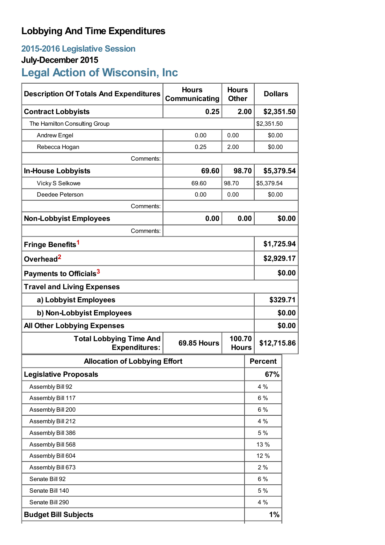## **Lobbying And Time Expenditures**

## **2015-2016 Legislative Session**

## **July-December 2015**

# **Legal Action of Wisconsin, Inc**

| <b>Description Of Totals And Expenditures</b>          | <b>Hours</b><br>Communicating                | <b>Hours</b><br><b>Other</b> | <b>Dollars</b> |            |  |
|--------------------------------------------------------|----------------------------------------------|------------------------------|----------------|------------|--|
| <b>Contract Lobbyists</b>                              | 0.25                                         | 2.00                         | \$2,351.50     |            |  |
| The Hamilton Consulting Group                          |                                              |                              | \$2,351.50     |            |  |
| <b>Andrew Engel</b>                                    | 0.00                                         | 0.00                         |                | \$0.00     |  |
| Rebecca Hogan                                          | 0.25                                         | 2.00                         | \$0.00         |            |  |
| Comments:                                              |                                              |                              |                |            |  |
| <b>In-House Lobbyists</b>                              | 69.60                                        | 98.70                        | \$5,379.54     |            |  |
| Vicky S Selkowe                                        | 69.60                                        | 98.70                        | \$5,379.54     |            |  |
| Deedee Peterson                                        | 0.00                                         | 0.00                         | \$0.00         |            |  |
| Comments:                                              |                                              |                              |                |            |  |
| <b>Non-Lobbyist Employees</b>                          | 0.00                                         | 0.00                         |                | \$0.00     |  |
| Comments:                                              |                                              |                              |                |            |  |
| Fringe Benefits <sup>1</sup>                           |                                              |                              | \$1,725.94     |            |  |
| Overhead <sup>2</sup>                                  |                                              |                              |                | \$2,929.17 |  |
| Payments to Officials <sup>3</sup>                     |                                              |                              |                | \$0.00     |  |
| <b>Travel and Living Expenses</b>                      |                                              |                              |                |            |  |
| a) Lobbyist Employees                                  |                                              |                              |                | \$329.71   |  |
| b) Non-Lobbyist Employees                              |                                              |                              |                | \$0.00     |  |
| <b>All Other Lobbying Expenses</b>                     |                                              |                              |                | \$0.00     |  |
| <b>Total Lobbying Time And</b><br><b>Expenditures:</b> | 100.70<br><b>69.85 Hours</b><br><b>Hours</b> |                              | \$12,715.86    |            |  |
| <b>Allocation of Lobbying Effort</b>                   |                                              |                              | <b>Percent</b> |            |  |
| <b>Legislative Proposals</b>                           |                                              |                              | 67%            |            |  |
| Assembly Bill 92                                       |                                              |                              | 4 %            |            |  |
| Assembly Bill 117                                      |                                              |                              | 6 %            |            |  |
| Assembly Bill 200                                      |                                              |                              | 6 %            |            |  |
| Assembly Bill 212                                      |                                              |                              | 4 %            |            |  |
| Assembly Bill 386                                      |                                              |                              | 5 %            |            |  |
| Assembly Bill 568                                      |                                              |                              | 13 %           |            |  |
| Assembly Bill 604                                      |                                              |                              | 12 %           |            |  |
| Assembly Bill 673                                      |                                              |                              | 2%             |            |  |
| Senate Bill 92                                         |                                              |                              | $6\%$          |            |  |
| Senate Bill 140                                        |                                              |                              | 5 %            |            |  |
| Senate Bill 290                                        |                                              |                              | 4 %            |            |  |
| <b>Budget Bill Subjects</b>                            |                                              |                              | 1%             |            |  |